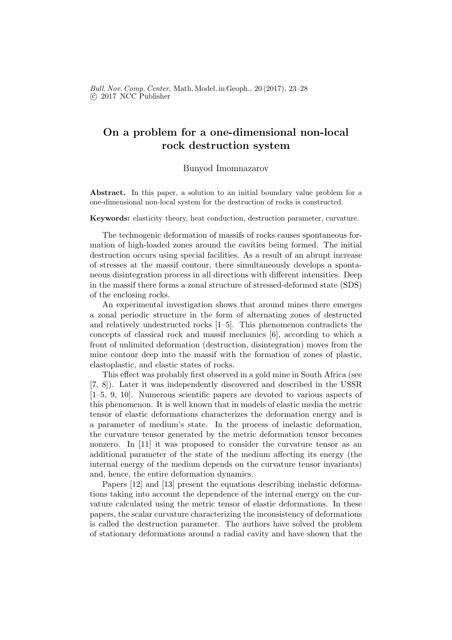## On a problem for a one-dimensional non-local rock destruction system

## Bunyod Imomnazarov

Abstract. In this paper, a solution to an initial boundary value problem for a one-dimensional non-local system for the destruction of rocks is constructed.

Keywords: elasticity theory, heat conduction, destruction parameter, curvature.

The technogenic deformation of massifs of rocks causes spontaneous formation of high-loaded zones around the cavities being formed. The initial destruction occurs using special facilities. As a result of an abrupt increase of stresses at the massif contour, there simultaneously develops a spontaneous disintegration process in all directions with different intensities. Deep in the massif there forms a zonal structure of stressed-deformed state (SDS) of the enclosing rocks.

An experimental investigation shows that around mines there emerges a zonal periodic structure in the form of alternating zones of destructed and relatively undestructed rocks [1–5]. This phenomenon contradicts the concepts of classical rock and massif mechanics [6], according to which a front of unlimited deformation (destruction, disintegration) moves from the mine contour deep into the massif with the formation of zones of plastic, elastoplastic, and elastic states of rocks.

This effect was probably first observed in a gold mine in South Africa (see [7, 8]). Later it was independently discovered and described in the USSR [1–5, 9, 10]. Numerous scientific papers are devoted to various aspects of this phenomenon. It is well known that in models of elastic media the metric tensor of elastic deformations characterizes the deformation energy and is a parameter of medium's state. In the process of inelastic deformation, the curvature tensor generated by the metric deformation tensor becomes nonzero. In [11] it was proposed to consider the curvature tensor as an additional parameter of the state of the medium affecting its energy (the internal energy of the medium depends on the curvature tensor invariants) and, hence, the entire deformation dynamics.

Papers [12] and [13] present the equations describing inelastic deformations taking into account the dependence of the internal energy on the curvature calculated using the metric tensor of elastic deformations. In these papers, the scalar curvature characterizing the inconsistency of deformations is called the destruction parameter. The authors have solved the problem of stationary deformations around a radial cavity and have shown that the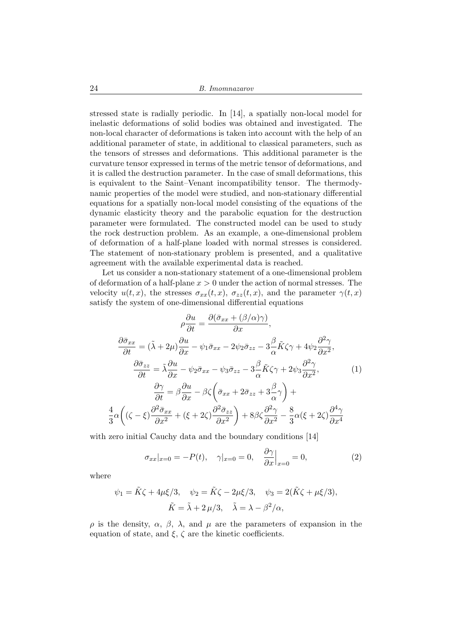stressed state is radially periodic. In [14], a spatially non-local model for inelastic deformations of solid bodies was obtained and investigated. The non-local character of deformations is taken into account with the help of an additional parameter of state, in additional to classical parameters, such as the tensors of stresses and deformations. This additional parameter is the curvature tensor expressed in terms of the metric tensor of deformations, and it is called the destruction parameter. In the case of small deformations, this is equivalent to the Saint–Venant incompatibility tensor. The thermodynamic properties of the model were studied, and non-stationary differential equations for a spatially non-local model consisting of the equations of the dynamic elasticity theory and the parabolic equation for the destruction parameter were formulated. The constructed model can be used to study the rock destruction problem. As an example, a one-dimensional problem of deformation of a half-plane loaded with normal stresses is considered. The statement of non-stationary problem is presented, and a qualitative agreement with the available experimental data is reached.

Let us consider a non-stationary statement of a one-dimensional problem of deformation of a half-plane  $x > 0$  under the action of normal stresses. The velocity  $u(t, x)$ , the stresses  $\sigma_{xx}(t, x)$ ,  $\sigma_{zz}(t, x)$ , and the parameter  $\gamma(t, x)$ satisfy the system of one-dimensional differential equations

$$
\rho \frac{\partial u}{\partial t} = \frac{\partial (\bar{\sigma}_{xx} + (\beta/\alpha)\gamma)}{\partial x},
$$

$$
\frac{\partial \bar{\sigma}_{xx}}{\partial t} = (\tilde{\lambda} + 2\mu) \frac{\partial u}{\partial x} - \psi_1 \bar{\sigma}_{xx} - 2\psi_2 \bar{\sigma}_{zz} - 3\frac{\beta}{\alpha} \tilde{K} \zeta \gamma + 4\psi_2 \frac{\partial^2 \gamma}{\partial x^2},
$$

$$
\frac{\partial \bar{\sigma}_{zz}}{\partial t} = \tilde{\lambda} \frac{\partial u}{\partial x} - \psi_2 \bar{\sigma}_{xx} - \psi_3 \bar{\sigma}_{zz} - 3\frac{\beta}{\alpha} \tilde{K} \zeta \gamma + 2\psi_3 \frac{\partial^2 \gamma}{\partial x^2},
$$
(1)
$$
\frac{\partial \gamma}{\partial t} = \beta \frac{\partial u}{\partial x} - \beta \zeta \left( \bar{\sigma}_{xx} + 2\bar{\sigma}_{zz} + 3\frac{\beta}{\alpha} \gamma \right) +
$$

$$
\frac{4}{3} \alpha \left( (\zeta - \xi) \frac{\partial^2 \bar{\sigma}_{xx}}{\partial x^2} + (\xi + 2\zeta) \frac{\partial^2 \bar{\sigma}_{zz}}{\partial x^2} \right) + 8\beta \zeta \frac{\partial^2 \gamma}{\partial x^2} - \frac{8}{3} \alpha (\xi + 2\zeta) \frac{\partial^4 \gamma}{\partial x^4}
$$

with zero initial Cauchy data and the boundary conditions [14]

$$
\sigma_{xx}|_{x=0} = -P(t), \quad \gamma|_{x=0} = 0, \quad \frac{\partial \gamma}{\partial x}\Big|_{x=0} = 0,\tag{2}
$$

where

$$
\psi_1 = \tilde{K}\zeta + 4\mu\xi/3, \quad \psi_2 = \tilde{K}\zeta - 2\mu\xi/3, \quad \psi_3 = 2(\tilde{K}\zeta + \mu\xi/3),
$$

$$
\tilde{K} = \tilde{\lambda} + 2\mu/3, \quad \tilde{\lambda} = \lambda - \beta^2/\alpha,
$$

ρ is the density, α, β, λ, and µ are the parameters of expansion in the equation of state, and  $\xi$ ,  $\zeta$  are the kinetic coefficients.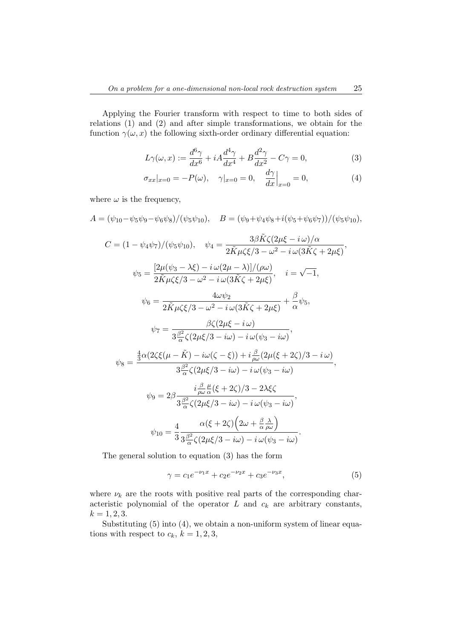Applying the Fourier transform with respect to time to both sides of relations (1) and (2) and after simple transformations, we obtain for the function  $\gamma(\omega, x)$  the following sixth-order ordinary differential equation:

$$
L\gamma(\omega, x) := \frac{d^6\gamma}{dx^6} + iA\frac{d^4\gamma}{dx^4} + B\frac{d^2\gamma}{dx^2} - C\gamma = 0,
$$
\n(3)

$$
\sigma_{xx}|_{x=0} = -P(\omega), \quad \gamma|_{x=0} = 0, \quad \frac{d\gamma}{dx}|_{x=0} = 0,
$$
 (4)

where  $\omega$  is the frequency,

$$
A = (\psi_{10} - \psi_5 \psi_9 - \psi_6 \psi_8) / (\psi_5 \psi_{10}), \quad B = (\psi_9 + \psi_4 \psi_8 + i(\psi_5 + \psi_6 \psi_7)) / (\psi_5 \psi_{10}),
$$
  
\n
$$
C = (1 - \psi_4 \psi_7) / (\psi_5 \psi_{10}), \quad \psi_4 = \frac{3\beta \tilde{K} \zeta (2\mu\xi - i\omega) / \alpha}{2 \tilde{K} \mu \zeta \xi / 3 - \omega^2 - i\omega (3\tilde{K}\zeta + 2\mu\xi)},
$$
  
\n
$$
\psi_5 = \frac{[2\mu(\psi_3 - \lambda\xi) - i\omega(2\mu - \lambda)] / (\rho \omega)}{2 \tilde{K} \mu \zeta \xi / 3 - \omega^2 - i\omega (3\tilde{K}\zeta + 2\mu\xi)}, \quad i = \sqrt{-1},
$$
  
\n
$$
\psi_6 = \frac{4\omega\psi_2}{2 \tilde{K} \mu \zeta \xi / 3 - \omega^2 - i\omega (3\tilde{K}\zeta + 2\mu\xi)} + \frac{\beta}{\alpha} \psi_5,
$$
  
\n
$$
\psi_7 = \frac{\beta \zeta (2\mu\xi - i\omega)}{3 \frac{\beta^2}{\alpha} \zeta (2\mu\xi / 3 - i\omega) - i\omega (\psi_3 - i\omega)},
$$
  
\n
$$
\psi_8 = \frac{\frac{4}{3} \alpha (2\zeta \xi (\mu - \tilde{K}) - i\omega(\zeta - \xi)) + i\frac{\beta}{\rho \omega} (2\mu(\xi + 2\zeta) / 3 - i\omega)}{3 \frac{\beta^2}{\alpha} \zeta (2\mu\xi / 3 - i\omega) - i\omega (\psi_3 - i\omega)},
$$
  
\n
$$
\psi_9 = 2\beta \frac{i\frac{\beta}{\rho \omega} \frac{\mu}{\alpha} (\xi + 2\zeta) / 3 - 2\lambda \xi \zeta}{3 \frac{\beta^2}{\alpha} \zeta (2\mu\xi / 3 - i\omega) - i\omega (\psi_3 - i\omega)},
$$
  
\n
$$
\psi_{10} = \frac{4}{3} \frac{\alpha (\xi + 2\zeta) (2\omega + \frac{\beta}{\alpha} \frac{\lambda}{\omega})}{
$$

$$
\gamma = c_1 e^{-\nu_1 x} + c_2 e^{-\nu_2 x} + c_3 e^{-\nu_3 x},\tag{5}
$$

where  $\nu_k$  are the roots with positive real parts of the corresponding characteristic polynomial of the operator  $L$  and  $c_k$  are arbitrary constants,  $k = 1, 2, 3.$ 

Substituting  $(5)$  into  $(4)$ , we obtain a non-uniform system of linear equations with respect to  $c_k$ ,  $k = 1, 2, 3$ ,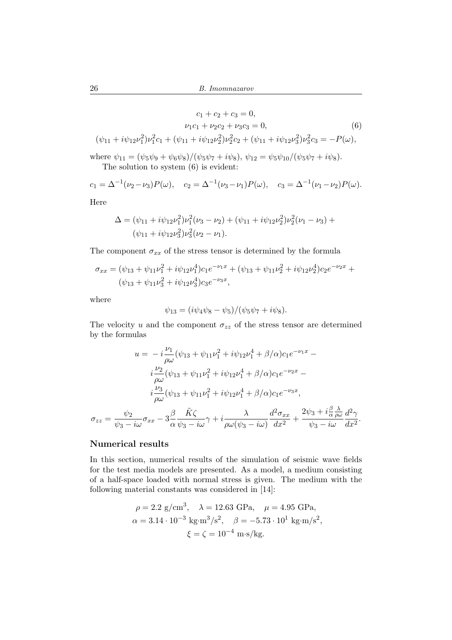$$
c_1 + c_2 + c_3 = 0,
$$
  
\n
$$
\nu_1 c_1 + \nu_2 c_2 + \nu_3 c_3 = 0,
$$
  
\n
$$
(\psi_{11} + i\psi_{12}\nu_1^2)\nu_1^2 c_1 + (\psi_{11} + i\psi_{12}\nu_2^2)\nu_2^2 c_2 + (\psi_{11} + i\psi_{12}\nu_3^2)\nu_3^2 c_3 = -P(\omega),
$$
  
\n(6)

where  $\psi_{11} = (\psi_5 \psi_9 + \psi_6 \psi_8) / (\psi_5 \psi_7 + i \psi_8), \psi_{12} = \psi_5 \psi_{10} / (\psi_5 \psi_7 + i \psi_8).$ 

The solution to system (6) is evident:

$$
c_1 = \Delta^{-1}(\nu_2 - \nu_3)P(\omega), \quad c_2 = \Delta^{-1}(\nu_3 - \nu_1)P(\omega), \quad c_3 = \Delta^{-1}(\nu_1 - \nu_2)P(\omega).
$$

Here

$$
\Delta = (\psi_{11} + i\psi_{12}\nu_1^2)\nu_1^2(\nu_3 - \nu_2) + (\psi_{11} + i\psi_{12}\nu_2^2)\nu_2^2(\nu_1 - \nu_3) + (\psi_{11} + i\psi_{12}\nu_3^2)\nu_3^2(\nu_2 - \nu_1).
$$

The component  $\sigma_{xx}$  of the stress tensor is determined by the formula

$$
\sigma_{xx} = (\psi_{13} + \psi_{11}\nu_1^2 + i\psi_{12}\nu_1^4)c_1e^{-\nu_1x} + (\psi_{13} + \psi_{11}\nu_2^2 + i\psi_{12}\nu_2^4)c_2e^{-\nu_2x} + (\psi_{13} + \psi_{11}\nu_3^2 + i\psi_{12}\nu_3^4)c_3e^{-\nu_3x},
$$

where

$$
\psi_{13} = (i\psi_4\psi_8 - \psi_5)/(\psi_5\psi_7 + i\psi_8).
$$

The velocity u and the component  $\sigma_{zz}$  of the stress tensor are determined by the formulas

$$
u = -i\frac{\nu_1}{\rho\omega}(\psi_{13} + \psi_{11}\nu_1^2 + i\psi_{12}\nu_1^4 + \beta/\alpha)c_1e^{-\nu_1x} -
$$
  

$$
i\frac{\nu_2}{\rho\omega}(\psi_{13} + \psi_{11}\nu_1^2 + i\psi_{12}\nu_1^4 + \beta/\alpha)c_1e^{-\nu_2x} -
$$
  

$$
i\frac{\nu_3}{\rho\omega}(\psi_{13} + \psi_{11}\nu_1^2 + i\psi_{12}\nu_1^4 + \beta/\alpha)c_1e^{-\nu_3x},
$$
  

$$
\sigma_{zz} = \frac{\psi_2}{\psi_3 - i\omega}\sigma_{xx} - 3\frac{\beta}{\alpha}\frac{\tilde{K}\zeta}{\psi_3 - i\omega}\gamma + i\frac{\lambda}{\rho\omega(\psi_3 - i\omega)}\frac{d^2\sigma_{xx}}{dx^2} + \frac{2\psi_3 + i\frac{\beta}{\alpha}\frac{\lambda}{\rho\omega}}{\psi_3 - i\omega}\frac{d^2\gamma}{dx^2}.
$$

## Numerical results

In this section, numerical results of the simulation of seismic wave fields for the test media models are presented. As a model, a medium consisting of a half-space loaded with normal stress is given. The medium with the following material constants was considered in [14]:

$$
\rho = 2.2 \text{ g/cm}^3
$$
,  $\lambda = 12.63 \text{ GPa}$ ,  $\mu = 4.95 \text{ GPa}$ ,  
\n $\alpha = 3.14 \cdot 10^{-3} \text{ kg} \cdot \text{m}^3/\text{s}^2$ ,  $\beta = -5.73 \cdot 10^1 \text{ kg} \cdot \text{m/s}^2$ ,  
\n $\xi = \zeta = 10^{-4} \text{ m} \cdot \text{s/kg}$ .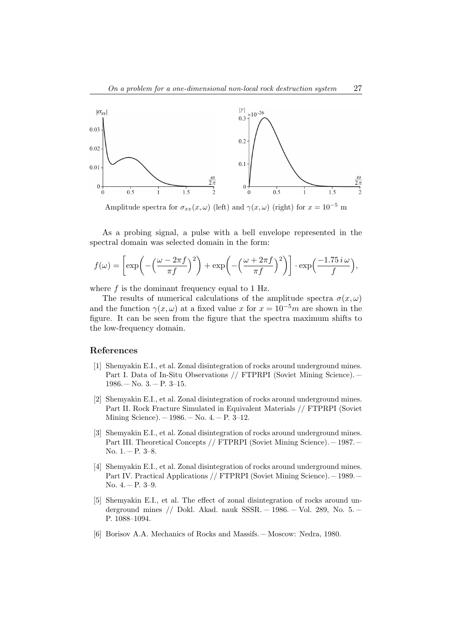

Amplitude spectra for  $\sigma_{xx}(x,\omega)$  (left) and  $\gamma(x,\omega)$  (right) for  $x = 10^{-5}$  m

As a probing signal, a pulse with a bell envelope represented in the spectral domain was selected domain in the form:

$$
f(\omega) = \left[ \exp\left(-\left(\frac{\omega - 2\pi f}{\pi f}\right)^2\right) + \exp\left(-\left(\frac{\omega + 2\pi f}{\pi f}\right)^2\right) \right] \cdot \exp\left(\frac{-1.75 i \omega}{f}\right),
$$

where  $f$  is the dominant frequency equal to 1 Hz.

The results of numerical calculations of the amplitude spectra  $\sigma(x,\omega)$ and the function  $\gamma(x,\omega)$  at a fixed value x for  $x = 10^{-5}m$  are shown in the figure. It can be seen from the figure that the spectra maximum shifts to the low-frequency domain.

## References

- [1] Shemyakin E.I., et al. Zonal disintegration of rocks around underground mines. Part I. Data of In-Situ Observations // FTPRPI (Soviet Mining Science). ––  $1986 - No. 3 - P. 3 - 15.$
- [2] Shemyakin E.I., et al. Zonal disintegration of rocks around underground mines. Part II. Rock Fracture Simulated in Equivalent Materials // FTPRPI (Soviet Mining Science).  $-1986. -$  No. 4.  $-$  P. 3–12.
- [3] Shemyakin E.I., et al. Zonal disintegration of rocks around underground mines. Part III. Theoretical Concepts // FTPRPI (Soviet Mining Science). -- 1987. --No.  $1 - P. 3 - 8$ .
- [4] Shemyakin E.I., et al. Zonal disintegration of rocks around underground mines. Part IV. Practical Applications // FTPRPI (Soviet Mining Science). –1989. – No.  $4. - P. 3-9.$
- [5] Shemyakin E.I., et al. The effect of zonal disintegration of rocks around underground mines // Dokl. Akad. nauk SSSR. – 1986. – Vol. 289, No. 5. – P. 1088–1094.
- [6] Borisov A.A. Mechanics of Rocks and Massifs. –– Moscow: Nedra, 1980.